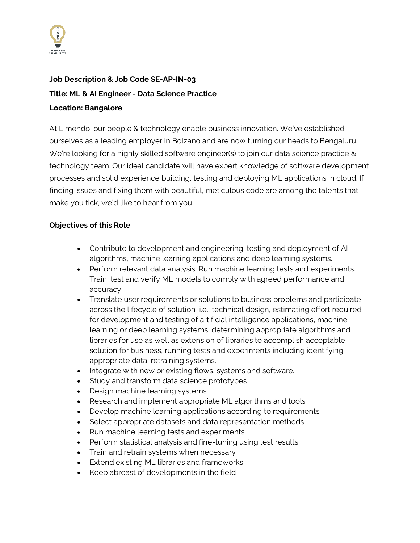

## **Job Description & Job Code SE-AP-IN-03 Title: ML & AI Engineer - Data Science Practice Location: Bangalore**

At Limendo, our people & technology enable business innovation. We've established ourselves as a leading employer in Bolzano and are now turning our heads to Bengaluru. We're looking for a highly skilled software engineer(s) to join our data science practice & technology team. Our ideal candidate will have expert knowledge of software development processes and solid experience building, testing and deploying ML applications in cloud. If finding issues and fixing them with beautiful, meticulous code are among the talents that make you tick, we'd like to hear from you.

## **Objectives of this Role**

- Contribute to development and engineering, testing and deployment of AI algorithms, machine learning applications and deep learning systems.
- Perform relevant data analysis. Run machine learning tests and experiments. Train, test and verify ML models to comply with agreed performance and accuracy.
- Translate user requirements or solutions to business problems and participate across the lifecycle of solution i.e., technical design, estimating effort required for development and testing of artificial intelligence applications, machine learning or deep learning systems, determining appropriate algorithms and libraries for use as well as extension of libraries to accomplish acceptable solution for business, running tests and experiments including identifying appropriate data, retraining systems.
- Integrate with new or existing flows, systems and software.
- Study and transform data science prototypes
- Design machine learning systems
- Research and implement appropriate ML algorithms and tools
- Develop machine learning applications according to requirements
- Select appropriate datasets and data representation methods
- Run machine learning tests and experiments
- Perform statistical analysis and fine-tuning using test results
- Train and retrain systems when necessary
- Extend existing ML libraries and frameworks
- Keep abreast of developments in the field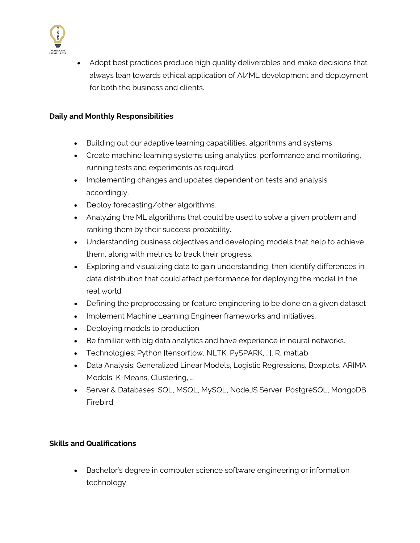

• Adopt best practices produce high quality deliverables and make decisions that always lean towards ethical application of AI/ML development and deployment for both the business and clients.

## **Daily and Monthly Responsibilities**

- Building out our adaptive learning capabilities, algorithms and systems.
- Create machine learning systems using analytics, performance and monitoring, running tests and experiments as required.
- Implementing changes and updates dependent on tests and analysis accordingly.
- Deploy forecasting/other algorithms.
- Analyzing the ML algorithms that could be used to solve a given problem and ranking them by their success probability.
- Understanding business objectives and developing models that help to achieve them, along with metrics to track their progress.
- Exploring and visualizing data to gain understanding, then identify differences in data distribution that could affect performance for deploying the model in the real world.
- Defining the preprocessing or feature engineering to be done on a given dataset
- Implement Machine Learning Engineer frameworks and initiatives.
- Deploying models to production.
- Be familiar with big data analytics and have experience in neural networks.
- Technologies: Python [tensorflow, NLTK, PySPARK, …], R, matlab,
- Data Analysis: Generalized Linear Models, Logistic Regressions, Boxplots, ARIMA Models, K-Means, Clustering, …
- Server & Databases: SQL, MSQL, MySQL, NodeJS Server, PostgreSQL, MongoDB, Firebird

## **Skills and Qualifications**

• Bachelor's degree in computer science software engineering or information technology